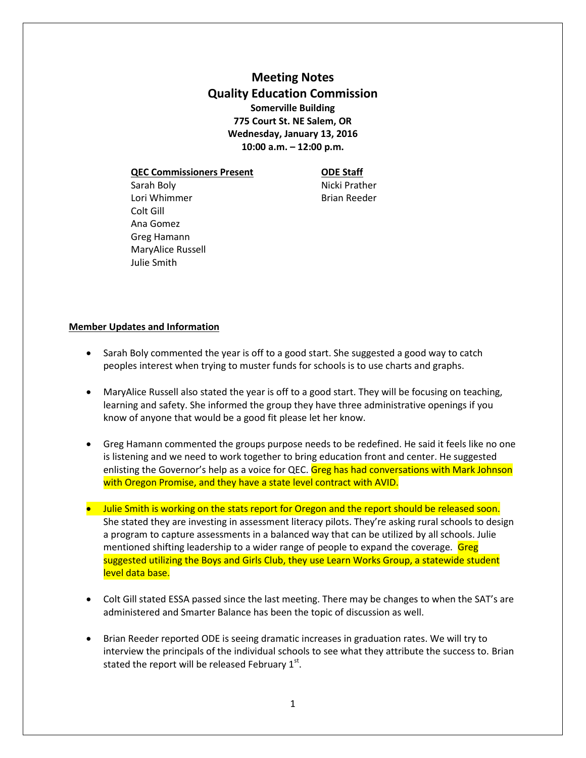**Meeting Notes Quality Education Commission Somerville Building 775 Court St. NE Salem, OR Wednesday, January 13, 2016 10:00 a.m. – 12:00 p.m.**

**QEC Commissioners Present ODE Staff**

Sarah Boly **Nicki Prather** Lori Whimmer **Brian Reeder** Colt Gill Ana Gomez Greg Hamann MaryAlice Russell Julie Smith

## **Member Updates and Information**

- Sarah Boly commented the year is off to a good start. She suggested a good way to catch peoples interest when trying to muster funds for schools is to use charts and graphs.
- MaryAlice Russell also stated the year is off to a good start. They will be focusing on teaching, learning and safety. She informed the group they have three administrative openings if you know of anyone that would be a good fit please let her know.
- Greg Hamann commented the groups purpose needs to be redefined. He said it feels like no one is listening and we need to work together to bring education front and center. He suggested enlisting the Governor's help as a voice for QEC. Greg has had conversations with Mark Johnson with Oregon Promise, and they have a state level contract with AVID.
- **Julie Smith is working on the stats report for Oregon and the report should be released soon.** She stated they are investing in assessment literacy pilots. They're asking rural schools to design a program to capture assessments in a balanced way that can be utilized by all schools. Julie mentioned shifting leadership to a wider range of people to expand the coverage. Greg suggested utilizing the Boys and Girls Club, they use Learn Works Group, a statewide student level data base.
- Colt Gill stated ESSA passed since the last meeting. There may be changes to when the SAT's are administered and Smarter Balance has been the topic of discussion as well.
- Brian Reeder reported ODE is seeing dramatic increases in graduation rates. We will try to interview the principals of the individual schools to see what they attribute the success to. Brian stated the report will be released February  $1^{st}$ .